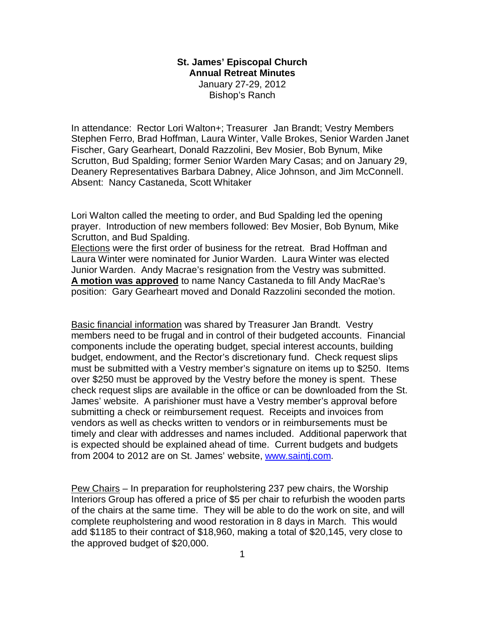# **St. James' Episcopal Church Annual Retreat Minutes**  January 27-29, 2012 Bishop's Ranch

In attendance: Rector Lori Walton+; Treasurer Jan Brandt; Vestry Members Stephen Ferro, Brad Hoffman, Laura Winter, Valle Brokes, Senior Warden Janet Fischer, Gary Gearheart, Donald Razzolini, Bev Mosier, Bob Bynum, Mike Scrutton, Bud Spalding; former Senior Warden Mary Casas; and on January 29, Deanery Representatives Barbara Dabney, Alice Johnson, and Jim McConnell. Absent: Nancy Castaneda, Scott Whitaker

Lori Walton called the meeting to order, and Bud Spalding led the opening prayer. Introduction of new members followed: Bev Mosier, Bob Bynum, Mike Scrutton, and Bud Spalding.

Elections were the first order of business for the retreat. Brad Hoffman and Laura Winter were nominated for Junior Warden. Laura Winter was elected Junior Warden. Andy Macrae's resignation from the Vestry was submitted. **A motion was approved** to name Nancy Castaneda to fill Andy MacRae's position: Gary Gearheart moved and Donald Razzolini seconded the motion.

Basic financial information was shared by Treasurer Jan Brandt. Vestry members need to be frugal and in control of their budgeted accounts. Financial components include the operating budget, special interest accounts, building budget, endowment, and the Rector's discretionary fund. Check request slips must be submitted with a Vestry member's signature on items up to \$250. Items over \$250 must be approved by the Vestry before the money is spent. These check request slips are available in the office or can be downloaded from the St. James' website. A parishioner must have a Vestry member's approval before submitting a check or reimbursement request. Receipts and invoices from vendors as well as checks written to vendors or in reimbursements must be timely and clear with addresses and names included. Additional paperwork that is expected should be explained ahead of time. Current budgets and budgets from 2004 to 2012 are on St. James' website, [www.saintj.com.](http://www.saintj.com)

Pew Chairs – In preparation for reupholstering 237 pew chairs, the Worship Interiors Group has offered a price of \$5 per chair to refurbish the wooden parts of the chairs at the same time. They will be able to do the work on site, and will complete reupholstering and wood restoration in 8 days in March. This would add \$1185 to their contract of \$18,960, making a total of \$20,145, very close to the approved budget of \$20,000.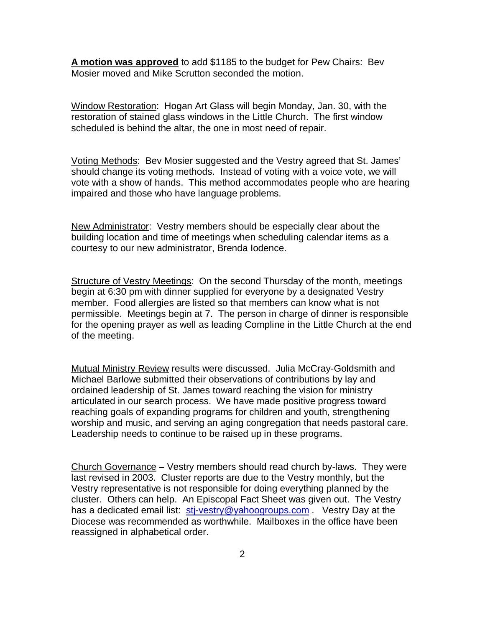**A motion was approved** to add \$1185 to the budget for Pew Chairs: Bev Mosier moved and Mike Scrutton seconded the motion.

Window Restoration: Hogan Art Glass will begin Monday, Jan. 30, with the restoration of stained glass windows in the Little Church. The first window scheduled is behind the altar, the one in most need of repair.

Voting Methods: Bev Mosier suggested and the Vestry agreed that St. James' should change its voting methods. Instead of voting with a voice vote, we will vote with a show of hands. This method accommodates people who are hearing impaired and those who have language problems.

New Administrator: Vestry members should be especially clear about the building location and time of meetings when scheduling calendar items as a courtesy to our new administrator, Brenda Iodence.

Structure of Vestry Meetings: On the second Thursday of the month, meetings begin at 6:30 pm with dinner supplied for everyone by a designated Vestry member. Food allergies are listed so that members can know what is not permissible. Meetings begin at 7. The person in charge of dinner is responsible for the opening prayer as well as leading Compline in the Little Church at the end of the meeting.

Mutual Ministry Review results were discussed. Julia McCray-Goldsmith and Michael Barlowe submitted their observations of contributions by lay and ordained leadership of St. James toward reaching the vision for ministry articulated in our search process. We have made positive progress toward reaching goals of expanding programs for children and youth, strengthening worship and music, and serving an aging congregation that needs pastoral care. Leadership needs to continue to be raised up in these programs.

Church Governance – Vestry members should read church by-laws. They were last revised in 2003. Cluster reports are due to the Vestry monthly, but the Vestry representative is not responsible for doing everything planned by the cluster. Others can help. An Episcopal Fact Sheet was given out. The Vestry has a dedicated email list: [stj-vestry@yahoogroups.com](mailto:stj-vestry@yahoogroups.com) . Vestry Day at the Diocese was recommended as worthwhile. Mailboxes in the office have been reassigned in alphabetical order.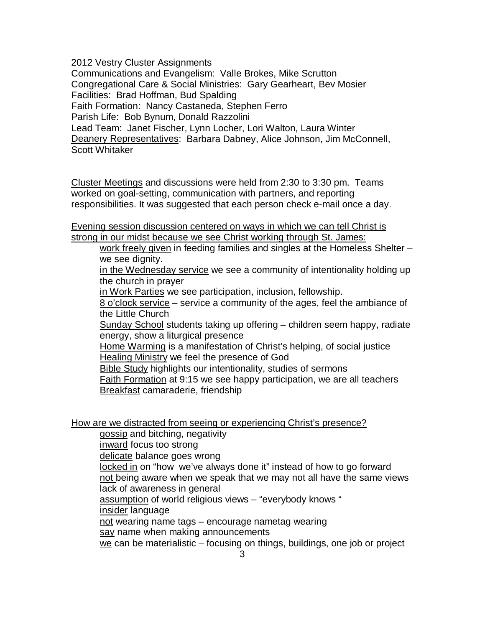2012 Vestry Cluster Assignments

Communications and Evangelism: Valle Brokes, Mike Scrutton Congregational Care & Social Ministries: Gary Gearheart, Bev Mosier Facilities: Brad Hoffman, Bud Spalding Faith Formation: Nancy Castaneda, Stephen Ferro Parish Life: Bob Bynum, Donald Razzolini Lead Team: Janet Fischer, Lynn Locher, Lori Walton, Laura Winter Deanery Representatives: Barbara Dabney, Alice Johnson, Jim McConnell, Scott Whitaker

Cluster Meetings and discussions were held from 2:30 to 3:30 pm. Teams worked on goal-setting, communication with partners, and reporting responsibilities. It was suggested that each person check e-mail once a day.

Evening session discussion centered on ways in which we can tell Christ is strong in our midst because we see Christ working through St. James:

work freely given in feeding families and singles at the Homeless Shelter – we see dianity.

in the Wednesday service we see a community of intentionality holding up the church in prayer

in Work Parties we see participation, inclusion, fellowship.

8 o'clock service – service a community of the ages, feel the ambiance of the Little Church

Sunday School students taking up offering – children seem happy, radiate energy, show a liturgical presence

Home Warming is a manifestation of Christ's helping, of social justice Healing Ministry we feel the presence of God

Bible Study highlights our intentionality, studies of sermons

Faith Formation at 9:15 we see happy participation, we are all teachers Breakfast camaraderie, friendship

How are we distracted from seeing or experiencing Christ's presence?

gossip and bitching, negativity

inward focus too strong

delicate balance goes wrong

locked in on "how we've always done it" instead of how to go forward not being aware when we speak that we may not all have the same views lack of awareness in general

assumption of world religious views – "everybody knows "

insider language

not wearing name tags – encourage nametag wearing

say name when making announcements

we can be materialistic – focusing on things, buildings, one job or project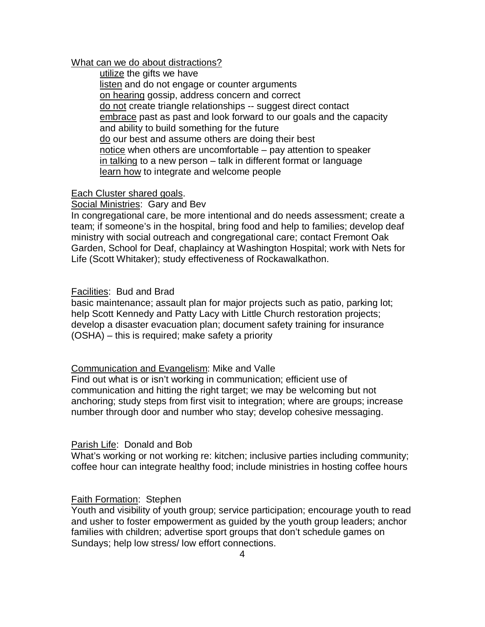### What can we do about distractions?

utilize the gifts we have listen and do not engage or counter arguments on hearing gossip, address concern and correct do not create triangle relationships -- suggest direct contact embrace past as past and look forward to our goals and the capacity and ability to build something for the future do our best and assume others are doing their best notice when others are uncomfortable – pay attention to speaker in talking to a new person – talk in different format or language learn how to integrate and welcome people

## Each Cluster shared goals.

Social Ministries: Gary and Bev

In congregational care, be more intentional and do needs assessment; create a team; if someone's in the hospital, bring food and help to families; develop deaf ministry with social outreach and congregational care; contact Fremont Oak Garden, School for Deaf, chaplaincy at Washington Hospital; work with Nets for Life (Scott Whitaker); study effectiveness of Rockawalkathon.

### Facilities: Bud and Brad

basic maintenance; assault plan for major projects such as patio, parking lot; help Scott Kennedy and Patty Lacy with Little Church restoration projects; develop a disaster evacuation plan; document safety training for insurance (OSHA) – this is required; make safety a priority

## Communication and Evangelism: Mike and Valle

Find out what is or isn't working in communication; efficient use of communication and hitting the right target; we may be welcoming but not anchoring; study steps from first visit to integration; where are groups; increase number through door and number who stay; develop cohesive messaging.

#### Parish Life: Donald and Bob

What's working or not working re: kitchen; inclusive parties including community; coffee hour can integrate healthy food; include ministries in hosting coffee hours

## Faith Formation: Stephen

Youth and visibility of youth group; service participation; encourage youth to read and usher to foster empowerment as guided by the youth group leaders; anchor families with children; advertise sport groups that don't schedule games on Sundays; help low stress/ low effort connections.